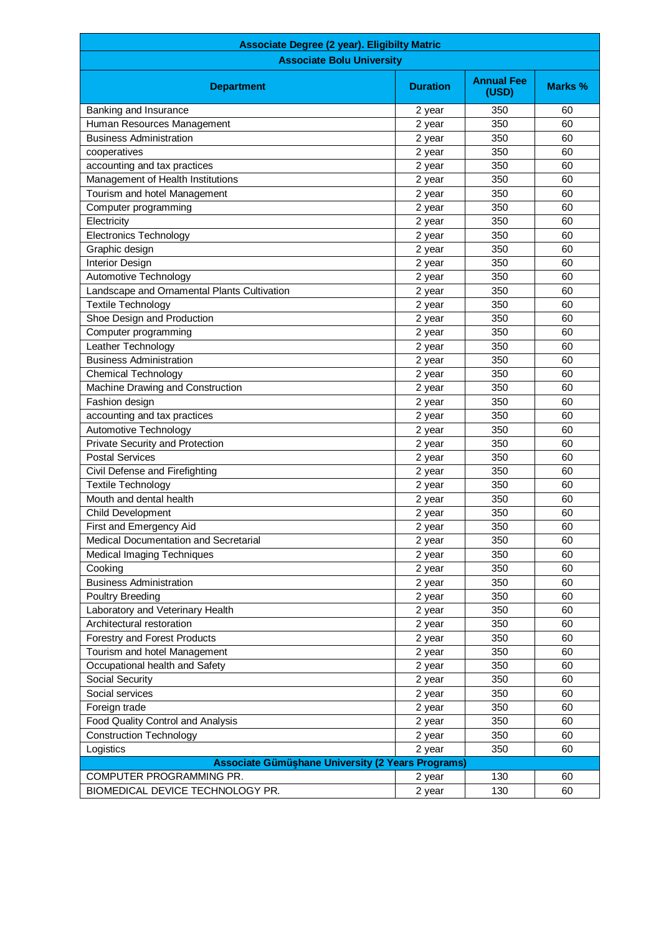| <b>Associate Degree (2 year). Eligibilty Matric</b> |                 |                            |         |
|-----------------------------------------------------|-----------------|----------------------------|---------|
| <b>Associate Bolu University</b>                    |                 |                            |         |
| <b>Department</b>                                   | <b>Duration</b> | <b>Annual Fee</b><br>(USD) | Marks % |
| Banking and Insurance                               | 2 year          | 350                        | 60      |
| Human Resources Management                          | 2 year          | 350                        | 60      |
| <b>Business Administration</b>                      | 2 year          | 350                        | 60      |
| cooperatives                                        | 2 year          | 350                        | 60      |
| accounting and tax practices                        | 2 year          | 350                        | 60      |
| Management of Health Institutions                   | 2 year          | 350                        | 60      |
| Tourism and hotel Management                        | 2 year          | 350                        | 60      |
| Computer programming                                | 2 year          | 350                        | 60      |
| Electricity                                         | 2 year          | 350                        | 60      |
| <b>Electronics Technology</b>                       | 2 year          | 350                        | 60      |
| Graphic design                                      | 2 year          | 350                        | 60      |
| Interior Design                                     | 2 year          | 350                        | 60      |
| Automotive Technology                               | 2 year          | 350                        | 60      |
| Landscape and Ornamental Plants Cultivation         | 2 year          | 350                        | 60      |
| <b>Textile Technology</b>                           | 2 year          | 350                        | 60      |
| Shoe Design and Production                          | 2 year          | 350                        | 60      |
| Computer programming                                | 2 year          | 350                        | 60      |
| Leather Technology                                  | 2 year          | 350                        | 60      |
| <b>Business Administration</b>                      | 2 year          | 350                        | 60      |
| <b>Chemical Technology</b>                          | 2 year          | 350                        | 60      |
| Machine Drawing and Construction                    | 2 year          | 350                        | 60      |
| Fashion design                                      | 2 year          | 350                        | 60      |
| accounting and tax practices                        | 2 year          | 350                        | 60      |
| Automotive Technology                               | 2 year          | 350                        | 60      |
| Private Security and Protection                     | 2 year          | 350                        | 60      |
| <b>Postal Services</b>                              | 2 year          | 350                        | 60      |
| Civil Defense and Firefighting                      | 2 year          | 350                        | 60      |
| <b>Textile Technology</b>                           | 2 year          | 350                        | 60      |
| Mouth and dental health                             | 2 year          | 350                        | 60      |
| Child Development                                   | 2 year          | 350                        | 60      |
| First and Emergency Aid                             | 2 year          | 350                        | 60      |
| Medical Documentation and Secretarial               | 2 year          | 350                        | 60      |
| <b>Medical Imaging Techniques</b>                   | 2 year          | 350                        | 60      |
| Cooking                                             | 2 year          | 350                        | 60      |
| <b>Business Administration</b>                      | 2 year          | 350                        | 60      |
| Poultry Breeding                                    | 2 year          | 350                        | 60      |
| Laboratory and Veterinary Health                    | 2 year          | 350                        | 60      |
| Architectural restoration                           | 2 year          | 350                        | 60      |
| Forestry and Forest Products                        | 2 year          | 350                        | 60      |
| Tourism and hotel Management                        | 2 year          | 350                        | 60      |
| Occupational health and Safety                      | 2 year          | 350                        | 60      |
| Social Security                                     | 2 year          | 350                        | 60      |
| Social services                                     | 2 year          | 350                        | 60      |
| Foreign trade                                       | 2 year          | 350                        | 60      |
| Food Quality Control and Analysis                   | 2 year          | 350                        | 60      |
| <b>Construction Technology</b>                      | 2 year          | 350                        | 60      |
| Logistics                                           | 2 year          | 350                        | 60      |
| Associate Gümüşhane University (2 Years Programs)   |                 |                            |         |
| COMPUTER PROGRAMMING PR.                            | 2 year          | 130                        | 60      |
| BIOMEDICAL DEVICE TECHNOLOGY PR.                    | 2 year          | 130                        | 60      |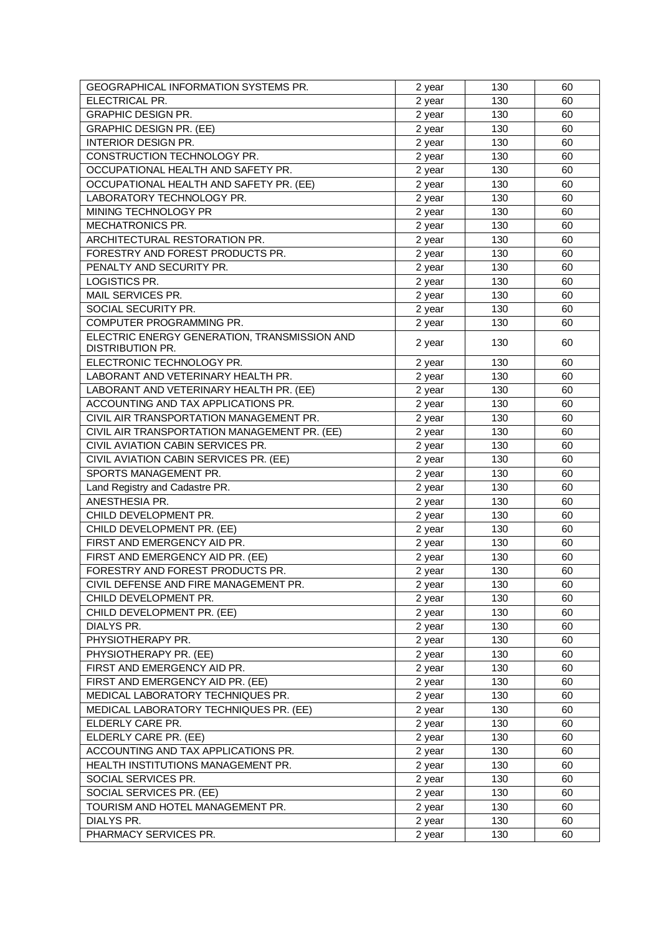| ELECTRICAL PR.<br>2 year<br>130<br>60<br><b>GRAPHIC DESIGN PR.</b><br>130<br>60<br>2 year                      |  |
|----------------------------------------------------------------------------------------------------------------|--|
|                                                                                                                |  |
|                                                                                                                |  |
| <b>GRAPHIC DESIGN PR. (EE)</b><br>130<br>60<br>2 year                                                          |  |
| <b>INTERIOR DESIGN PR.</b><br>130<br>60<br>2 year                                                              |  |
| CONSTRUCTION TECHNOLOGY PR.<br>130<br>60<br>2 year                                                             |  |
| OCCUPATIONAL HEALTH AND SAFETY PR.<br>130<br>60<br>2 year                                                      |  |
| OCCUPATIONAL HEALTH AND SAFETY PR. (EE)<br>2 year<br>130<br>60                                                 |  |
| LABORATORY TECHNOLOGY PR.<br>130<br>60<br>2 year                                                               |  |
| MINING TECHNOLOGY PR<br>130<br>60<br>2 year                                                                    |  |
| MECHATRONICS PR.<br>130<br>60<br>2 year                                                                        |  |
| ARCHITECTURAL RESTORATION PR.<br>130<br>60<br>2 year                                                           |  |
| FORESTRY AND FOREST PRODUCTS PR.<br>130<br>60<br>2 year                                                        |  |
| PENALTY AND SECURITY PR.<br>130<br>60<br>2 year                                                                |  |
| LOGISTICS PR.<br>130<br>60<br>2 year                                                                           |  |
| MAIL SERVICES PR.<br>130<br>60<br>2 year                                                                       |  |
| SOCIAL SECURITY PR.<br>130<br>60<br>2 year                                                                     |  |
| COMPUTER PROGRAMMING PR.<br>130<br>60<br>2 year                                                                |  |
| ELECTRIC ENERGY GENERATION, TRANSMISSION AND<br>2 year<br>130<br>60<br><b>DISTRIBUTION PR.</b>                 |  |
| ELECTRONIC TECHNOLOGY PR.<br>130<br>60                                                                         |  |
| 2 year<br>LABORANT AND VETERINARY HEALTH PR.<br>130<br>60                                                      |  |
| 2 year<br>LABORANT AND VETERINARY HEALTH PR. (EE)<br>130<br>60                                                 |  |
| 2 year<br>ACCOUNTING AND TAX APPLICATIONS PR.<br>60                                                            |  |
| 2 year<br>130                                                                                                  |  |
| CIVIL AIR TRANSPORTATION MANAGEMENT PR.<br>130<br>60<br>2 year                                                 |  |
| CIVIL AIR TRANSPORTATION MANAGEMENT PR. (EE)<br>130<br>60<br>2 year<br>CIVIL AVIATION CABIN SERVICES PR.<br>60 |  |
| 130<br>2 year<br>CIVIL AVIATION CABIN SERVICES PR. (EE)<br>130<br>60<br>2 year                                 |  |
| SPORTS MANAGEMENT PR.<br>130<br>60                                                                             |  |
| 2 year<br>Land Registry and Cadastre PR.<br>2 year<br>130<br>60                                                |  |
| ANESTHESIA PR.<br>130<br>60                                                                                    |  |
| 2 year<br>CHILD DEVELOPMENT PR.<br>130<br>60<br>2 year                                                         |  |
| CHILD DEVELOPMENT PR. (EE)<br>130<br>60<br>2 year                                                              |  |
| FIRST AND EMERGENCY AID PR.<br>130<br>60<br>2 year                                                             |  |
| FIRST AND EMERGENCY AID PR. (EE)<br>130<br>60<br>2 year                                                        |  |
| FORESTRY AND FOREST PRODUCTS PR.<br>2 year<br>130<br>60                                                        |  |
| CIVIL DEFENSE AND FIRE MANAGEMENT PR.<br>130<br>60<br>2 year                                                   |  |
| CHILD DEVELOPMENT PR.<br>130<br>60<br>2 year                                                                   |  |
| CHILD DEVELOPMENT PR. (EE)<br>130<br>60<br>2 year                                                              |  |
| DIALYS PR.<br>130<br>60<br>2 year                                                                              |  |
| PHYSIOTHERAPY PR.<br>130<br>60<br>2 year                                                                       |  |
| PHYSIOTHERAPY PR. (EE)<br>130<br>60<br>2 year                                                                  |  |
| FIRST AND EMERGENCY AID PR.<br>130<br>60<br>2 year                                                             |  |
| FIRST AND EMERGENCY AID PR. (EE)<br>130<br>60<br>2 year                                                        |  |
| MEDICAL LABORATORY TECHNIQUES PR.<br>130<br>60<br>2 year                                                       |  |
| MEDICAL LABORATORY TECHNIQUES PR. (EE)<br>60<br>130<br>2 year                                                  |  |
| ELDERLY CARE PR.<br>60<br>130<br>2 year                                                                        |  |
| ELDERLY CARE PR. (EE)<br>2 year<br>130<br>60                                                                   |  |
| ACCOUNTING AND TAX APPLICATIONS PR.<br>130<br>60<br>2 year                                                     |  |
| HEALTH INSTITUTIONS MANAGEMENT PR.<br>130<br>60<br>2 year                                                      |  |
| SOCIAL SERVICES PR.<br>130<br>60<br>2 year                                                                     |  |
| SOCIAL SERVICES PR. (EE)<br>130<br>60<br>2 year                                                                |  |
| TOURISM AND HOTEL MANAGEMENT PR.<br>130<br>60<br>2 year                                                        |  |
| DIALYS PR.<br>130<br>60<br>2 year                                                                              |  |
| PHARMACY SERVICES PR.<br>130<br>60<br>2 year                                                                   |  |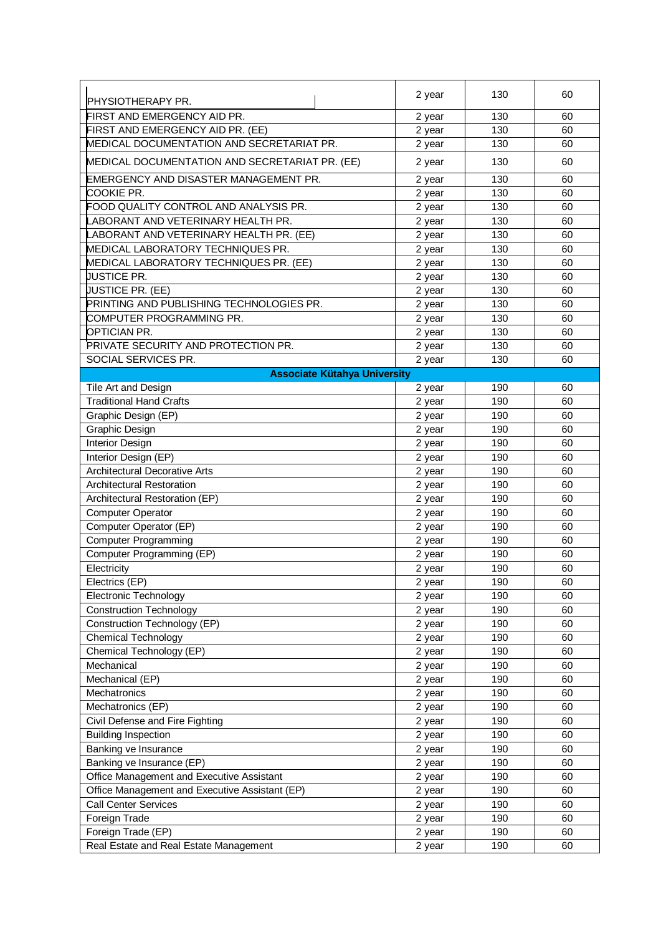|                                                | 2 year | 130 | 60 |
|------------------------------------------------|--------|-----|----|
| <b>PHYSIOTHERAPY PR.</b>                       |        |     |    |
| FIRST AND EMERGENCY AID PR.                    | 2 year | 130 | 60 |
| FIRST AND EMERGENCY AID PR. (EE)               | 2 year | 130 | 60 |
| MEDICAL DOCUMENTATION AND SECRETARIAT PR.      | 2 year | 130 | 60 |
| MEDICAL DOCUMENTATION AND SECRETARIAT PR. (EE) | 2 year | 130 | 60 |
| EMERGENCY AND DISASTER MANAGEMENT PR.          | 2 year | 130 | 60 |
| <b>COOKIE PR.</b>                              | 2 year | 130 | 60 |
| FOOD QUALITY CONTROL AND ANALYSIS PR.          | 2 year | 130 | 60 |
| <b>ABORANT AND VETERINARY HEALTH PR.</b>       | 2 year | 130 | 60 |
| ABORANT AND VETERINARY HEALTH PR. (EE)         | 2 year | 130 | 60 |
| MEDICAL LABORATORY TECHNIQUES PR.              | 2 year | 130 | 60 |
| MEDICAL LABORATORY TECHNIQUES PR. (EE)         | 2 year | 130 | 60 |
| <b>JUSTICE PR.</b>                             | 2 year | 130 | 60 |
| JUSTICE PR. (EE)                               | 2 year | 130 | 60 |
| PRINTING AND PUBLISHING TECHNOLOGIES PR.       | 2 year | 130 | 60 |
| COMPUTER PROGRAMMING PR.                       | 2 year | 130 | 60 |
| OPTICIAN PR.                                   | 2 year | 130 | 60 |
| PRIVATE SECURITY AND PROTECTION PR.            | 2 year | 130 | 60 |
| SOCIAL SERVICES PR.                            | 2 year | 130 | 60 |
| <b>Associate Kütahya University</b>            |        |     |    |
| Tile Art and Design                            | 2 year | 190 | 60 |
| <b>Traditional Hand Crafts</b>                 | 2 year | 190 | 60 |
| Graphic Design (EP)                            | 2 year | 190 | 60 |
| Graphic Design                                 | 2 year | 190 | 60 |
| <b>Interior Design</b>                         | 2 year | 190 | 60 |
| Interior Design (EP)                           | 2 year | 190 | 60 |
| <b>Architectural Decorative Arts</b>           | 2 year | 190 | 60 |
| <b>Architectural Restoration</b>               | 2 year | 190 | 60 |
| Architectural Restoration (EP)                 | 2 year | 190 | 60 |
| Computer Operator                              | 2 year | 190 | 60 |
| Computer Operator (EP)                         | 2 year | 190 | 60 |
| <b>Computer Programming</b>                    | 2 year | 190 | 60 |
| Computer Programming (EP)                      | 2 year | 190 | 60 |
| Electricity                                    | 2 year | 190 | 60 |
| Electrics (EP)                                 | 2 year | 190 | 60 |
| Electronic Technology                          | 2 year | 190 | 60 |
| <b>Construction Technology</b>                 | 2 year | 190 | 60 |
| Construction Technology (EP)                   | 2 year | 190 | 60 |
| <b>Chemical Technology</b>                     | 2 year | 190 | 60 |
| Chemical Technology (EP)                       | 2 year | 190 | 60 |
| Mechanical                                     | 2 year | 190 | 60 |
| Mechanical (EP)                                | 2 year | 190 | 60 |
| Mechatronics                                   | 2 year | 190 | 60 |
| Mechatronics (EP)                              | 2 year | 190 | 60 |
| Civil Defense and Fire Fighting                | 2 year | 190 | 60 |
| <b>Building Inspection</b>                     | 2 year | 190 | 60 |
| Banking ve Insurance                           | 2 year | 190 | 60 |
| Banking ve Insurance (EP)                      | 2 year | 190 | 60 |
| Office Management and Executive Assistant      | 2 year | 190 | 60 |
| Office Management and Executive Assistant (EP) | 2 year | 190 | 60 |
| <b>Call Center Services</b>                    | 2 year | 190 | 60 |
| Foreign Trade                                  | 2 year | 190 | 60 |
| Foreign Trade (EP)                             | 2 year | 190 | 60 |
| Real Estate and Real Estate Management         | 2 year | 190 | 60 |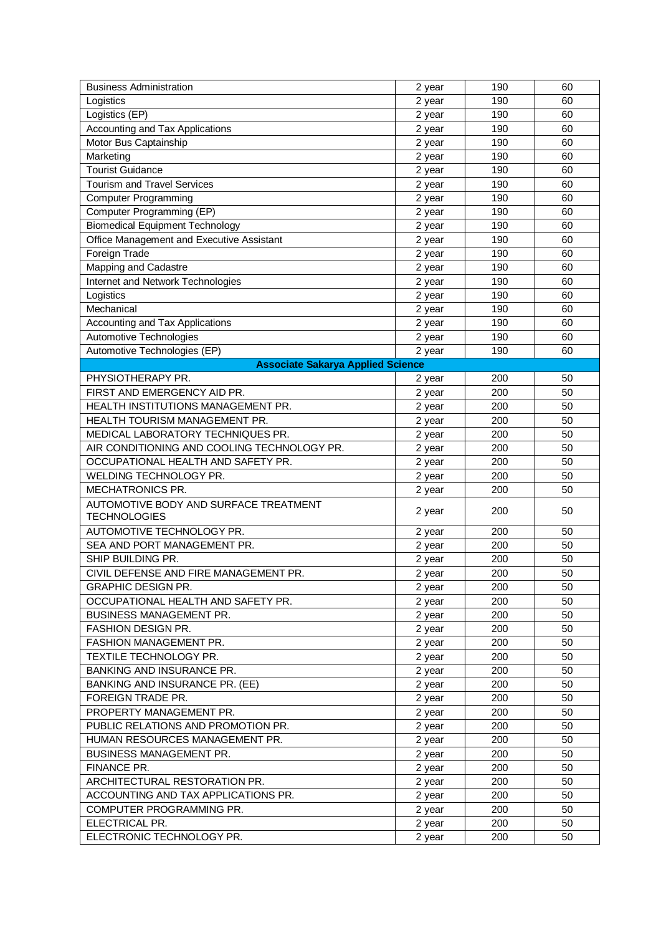| <b>Business Administration</b>              | 2 year | 190 | 60 |
|---------------------------------------------|--------|-----|----|
| Logistics                                   | 2 year | 190 | 60 |
| Logistics (EP)                              | 2 year | 190 | 60 |
| Accounting and Tax Applications             | 2 year | 190 | 60 |
| Motor Bus Captainship                       | 2 year | 190 | 60 |
| Marketing                                   | 2 year | 190 | 60 |
| <b>Tourist Guidance</b>                     | 2 year | 190 | 60 |
| <b>Tourism and Travel Services</b>          | 2 year | 190 | 60 |
| <b>Computer Programming</b>                 | 2 year | 190 | 60 |
| Computer Programming (EP)                   | 2 year | 190 | 60 |
| <b>Biomedical Equipment Technology</b>      | 2 year | 190 | 60 |
| Office Management and Executive Assistant   | 2 year | 190 | 60 |
| Foreign Trade                               | 2 year | 190 | 60 |
| <b>Mapping and Cadastre</b>                 | 2 year | 190 | 60 |
| Internet and Network Technologies           | 2 year | 190 | 60 |
| Logistics                                   | 2 year | 190 | 60 |
| Mechanical                                  | 2 year | 190 | 60 |
| Accounting and Tax Applications             | 2 year | 190 | 60 |
| Automotive Technologies                     | 2 year | 190 | 60 |
| Automotive Technologies (EP)                | 2 year | 190 | 60 |
| <b>Associate Sakarya Applied Science</b>    |        |     |    |
| PHYSIOTHERAPY PR.                           | 2 year | 200 | 50 |
| FIRST AND EMERGENCY AID PR.                 | 2 year | 200 | 50 |
| HEALTH INSTITUTIONS MANAGEMENT PR.          | 2 year | 200 | 50 |
| HEALTH TOURISM MANAGEMENT PR.               | 2 year | 200 | 50 |
| MEDICAL LABORATORY TECHNIQUES PR.           | 2 year | 200 | 50 |
| AIR CONDITIONING AND COOLING TECHNOLOGY PR. | 2 year | 200 | 50 |
| OCCUPATIONAL HEALTH AND SAFETY PR.          | 2 year | 200 | 50 |
| WELDING TECHNOLOGY PR.                      | 2 year | 200 | 50 |
| MECHATRONICS PR.                            | 2 year | 200 | 50 |
| AUTOMOTIVE BODY AND SURFACE TREATMENT       |        |     |    |
| <b>TECHNOLOGIES</b>                         | 2 year | 200 | 50 |
| AUTOMOTIVE TECHNOLOGY PR.                   | 2 year | 200 | 50 |
| SEA AND PORT MANAGEMENT PR.                 | 2 year | 200 | 50 |
| SHIP BUILDING PR.                           | 2 year | 200 | 50 |
| CIVIL DEFENSE AND FIRE MANAGEMENT PR.       | 2 year | 200 | 50 |
| <b>GRAPHIC DESIGN PR.</b>                   | 2 year | 200 | 50 |
| OCCUPATIONAL HEALTH AND SAFETY PR.          | 2 year | 200 | 50 |
| <b>BUSINESS MANAGEMENT PR.</b>              | 2 year | 200 | 50 |
| FASHION DESIGN PR.                          | 2 year | 200 | 50 |
| FASHION MANAGEMENT PR.                      | 2 year | 200 | 50 |
| TEXTILE TECHNOLOGY PR.                      | 2 year | 200 | 50 |
| BANKING AND INSURANCE PR.                   | 2 year | 200 | 50 |
| <b>BANKING AND INSURANCE PR. (EE)</b>       | 2 year | 200 | 50 |
| FOREIGN TRADE PR.                           | 2 year | 200 | 50 |
| PROPERTY MANAGEMENT PR.                     | 2 year | 200 | 50 |
| PUBLIC RELATIONS AND PROMOTION PR.          | 2 year | 200 | 50 |
| HUMAN RESOURCES MANAGEMENT PR.              | 2 year | 200 | 50 |
| <b>BUSINESS MANAGEMENT PR.</b>              | 2 year | 200 | 50 |
| FINANCE PR.                                 | 2 year | 200 | 50 |
| ARCHITECTURAL RESTORATION PR.               | 2 year | 200 | 50 |
| ACCOUNTING AND TAX APPLICATIONS PR.         | 2 year | 200 | 50 |
| COMPUTER PROGRAMMING PR.                    | 2 year | 200 | 50 |
| ELECTRICAL PR.                              | 2 year | 200 | 50 |
| ELECTRONIC TECHNOLOGY PR.                   | 2 year | 200 | 50 |
|                                             |        |     |    |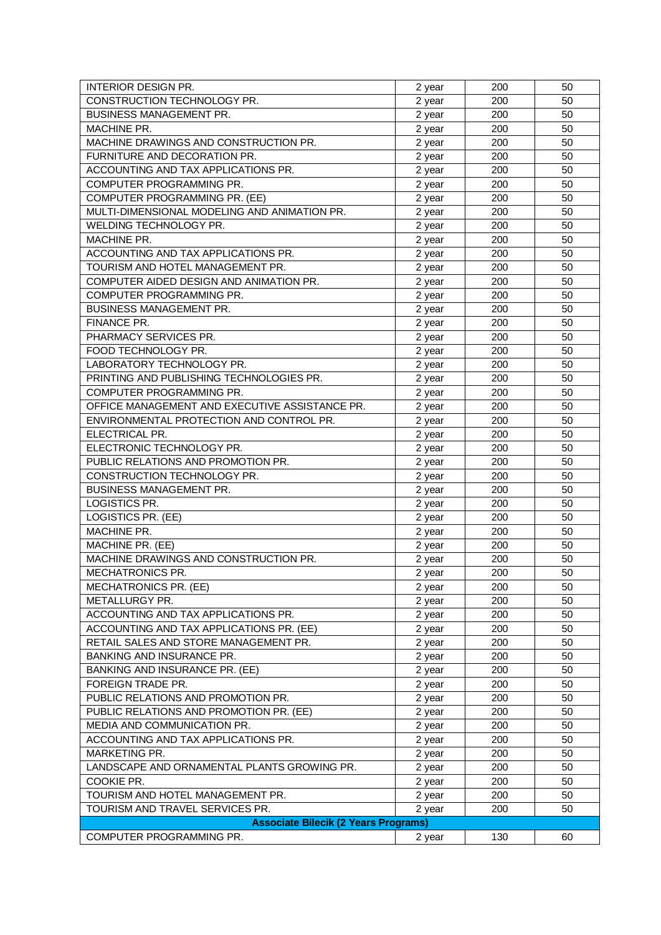| <b>INTERIOR DESIGN PR.</b>                     | 2 year | 200 | 50 |
|------------------------------------------------|--------|-----|----|
| CONSTRUCTION TECHNOLOGY PR.                    | 2 year | 200 | 50 |
| <b>BUSINESS MANAGEMENT PR.</b>                 | 2 year | 200 | 50 |
| MACHINE PR.                                    | 2 year | 200 | 50 |
| MACHINE DRAWINGS AND CONSTRUCTION PR.          | 2 year | 200 | 50 |
| FURNITURE AND DECORATION PR.                   | 2 year | 200 | 50 |
| ACCOUNTING AND TAX APPLICATIONS PR.            | 2 year | 200 | 50 |
| COMPUTER PROGRAMMING PR.                       | 2 year | 200 | 50 |
| COMPUTER PROGRAMMING PR. (EE)                  | 2 year | 200 | 50 |
| MULTI-DIMENSIONAL MODELING AND ANIMATION PR.   | 2 year | 200 | 50 |
| WELDING TECHNOLOGY PR.                         | 2 year | 200 | 50 |
| MACHINE PR.                                    | 2 year | 200 | 50 |
| ACCOUNTING AND TAX APPLICATIONS PR.            | 2 year | 200 | 50 |
| TOURISM AND HOTEL MANAGEMENT PR.               | 2 year | 200 | 50 |
| COMPUTER AIDED DESIGN AND ANIMATION PR.        | 2 year | 200 | 50 |
| COMPUTER PROGRAMMING PR.                       | 2 year | 200 | 50 |
| <b>BUSINESS MANAGEMENT PR.</b>                 | 2 year | 200 | 50 |
| <b>FINANCE PR.</b>                             | 2 year | 200 | 50 |
| PHARMACY SERVICES PR.                          | 2 year | 200 | 50 |
| FOOD TECHNOLOGY PR.                            | 2 year | 200 | 50 |
| LABORATORY TECHNOLOGY PR.                      | 2 year | 200 | 50 |
| PRINTING AND PUBLISHING TECHNOLOGIES PR.       | 2 year | 200 | 50 |
| COMPUTER PROGRAMMING PR.                       | 2 year | 200 | 50 |
| OFFICE MANAGEMENT AND EXECUTIVE ASSISTANCE PR. | 2 year | 200 | 50 |
| ENVIRONMENTAL PROTECTION AND CONTROL PR.       | 2 year | 200 | 50 |
| ELECTRICAL PR.                                 | 2 year | 200 | 50 |
| ELECTRONIC TECHNOLOGY PR.                      | 2 year | 200 | 50 |
| PUBLIC RELATIONS AND PROMOTION PR.             | 2 year | 200 | 50 |
| CONSTRUCTION TECHNOLOGY PR.                    | 2 year | 200 | 50 |
| BUSINESS MANAGEMENT PR.                        | 2 year | 200 | 50 |
| LOGISTICS PR.                                  | 2 year | 200 | 50 |
| LOGISTICS PR. (EE)                             | 2 year | 200 | 50 |
| MACHINE PR.                                    | 2 year | 200 | 50 |
| MACHINE PR. (EE)                               | 2 year | 200 | 50 |
| MACHINE DRAWINGS AND CONSTRUCTION PR.          | 2 year | 200 | 50 |
| <b>MECHATRONICS PR.</b>                        | 2 year | 200 | 50 |
| <b>MECHATRONICS PR. (EE)</b>                   | 2 year | 200 | 50 |
| METALLURGY PR.                                 | 2 year | 200 | 50 |
| ACCOUNTING AND TAX APPLICATIONS PR.            | 2 year | 200 | 50 |
| ACCOUNTING AND TAX APPLICATIONS PR. (EE)       | 2 year | 200 | 50 |
| RETAIL SALES AND STORE MANAGEMENT PR.          | 2 year | 200 | 50 |
| BANKING AND INSURANCE PR.                      | 2 year | 200 | 50 |
| <b>BANKING AND INSURANCE PR. (EE)</b>          | 2 year | 200 | 50 |
| FOREIGN TRADE PR.                              | 2 year | 200 | 50 |
| PUBLIC RELATIONS AND PROMOTION PR.             | 2 year | 200 | 50 |
| PUBLIC RELATIONS AND PROMOTION PR. (EE)        | 2 year | 200 | 50 |
| MEDIA AND COMMUNICATION PR.                    | 2 year | 200 | 50 |
| ACCOUNTING AND TAX APPLICATIONS PR.            | 2 year | 200 | 50 |
| MARKETING PR.                                  | 2 year | 200 | 50 |
| LANDSCAPE AND ORNAMENTAL PLANTS GROWING PR.    | 2 year | 200 | 50 |
| COOKIE PR.                                     | 2 year | 200 | 50 |
| TOURISM AND HOTEL MANAGEMENT PR.               | 2 year | 200 | 50 |
| TOURISM AND TRAVEL SERVICES PR.                | 2 year | 200 | 50 |
| <b>Associate Bilecik (2 Years Programs)</b>    |        |     |    |
| COMPUTER PROGRAMMING PR.                       | 2 year | 130 | 60 |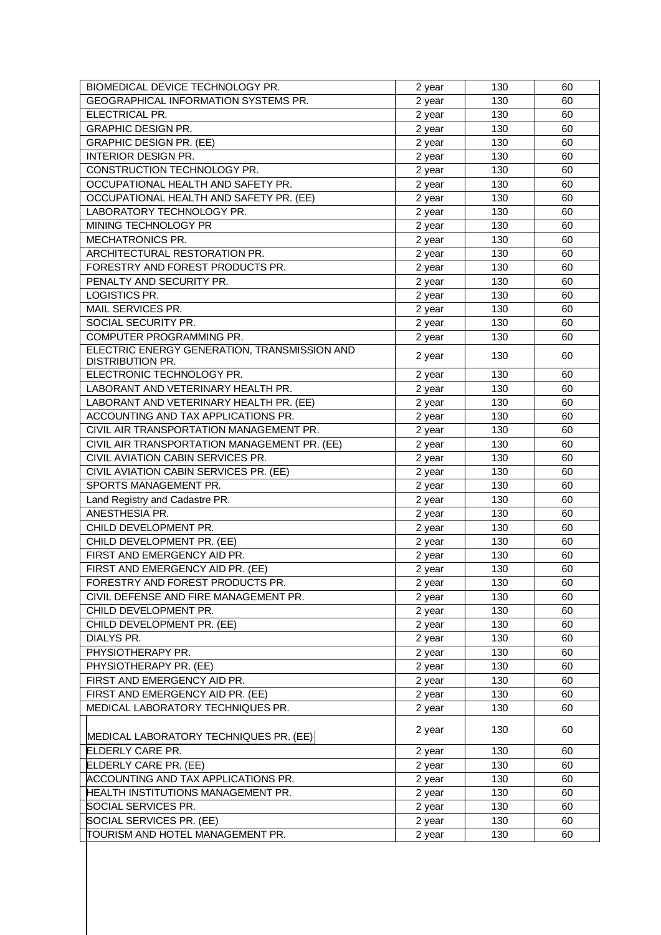| GEOGRAPHICAL INFORMATION SYSTEMS PR.<br>130<br>2 year<br>60<br>ELECTRICAL PR.<br>130<br>60<br>2 year<br><b>GRAPHIC DESIGN PR.</b><br>130<br>60<br>2 year<br><b>GRAPHIC DESIGN PR. (EE)</b><br>130<br>60<br>2 year<br><b>INTERIOR DESIGN PR.</b><br>130<br>60<br>2 year<br>CONSTRUCTION TECHNOLOGY PR.<br>130<br>60<br>2 year<br>OCCUPATIONAL HEALTH AND SAFETY PR.<br>130<br>60<br>2 year<br>OCCUPATIONAL HEALTH AND SAFETY PR. (EE)<br>130<br>2 year<br>60<br>LABORATORY TECHNOLOGY PR.<br>130<br>60<br>2 year<br>MINING TECHNOLOGY PR<br>130<br>60<br>2 year<br>MECHATRONICS PR.<br>60<br>130 |
|-------------------------------------------------------------------------------------------------------------------------------------------------------------------------------------------------------------------------------------------------------------------------------------------------------------------------------------------------------------------------------------------------------------------------------------------------------------------------------------------------------------------------------------------------------------------------------------------------|
|                                                                                                                                                                                                                                                                                                                                                                                                                                                                                                                                                                                                 |
|                                                                                                                                                                                                                                                                                                                                                                                                                                                                                                                                                                                                 |
|                                                                                                                                                                                                                                                                                                                                                                                                                                                                                                                                                                                                 |
|                                                                                                                                                                                                                                                                                                                                                                                                                                                                                                                                                                                                 |
|                                                                                                                                                                                                                                                                                                                                                                                                                                                                                                                                                                                                 |
|                                                                                                                                                                                                                                                                                                                                                                                                                                                                                                                                                                                                 |
|                                                                                                                                                                                                                                                                                                                                                                                                                                                                                                                                                                                                 |
|                                                                                                                                                                                                                                                                                                                                                                                                                                                                                                                                                                                                 |
|                                                                                                                                                                                                                                                                                                                                                                                                                                                                                                                                                                                                 |
|                                                                                                                                                                                                                                                                                                                                                                                                                                                                                                                                                                                                 |
| 2 year                                                                                                                                                                                                                                                                                                                                                                                                                                                                                                                                                                                          |
| ARCHITECTURAL RESTORATION PR.<br>130<br>60<br>2 year                                                                                                                                                                                                                                                                                                                                                                                                                                                                                                                                            |
| FORESTRY AND FOREST PRODUCTS PR.<br>130<br>60<br>2 year                                                                                                                                                                                                                                                                                                                                                                                                                                                                                                                                         |
| PENALTY AND SECURITY PR.<br>2 year<br>130<br>60                                                                                                                                                                                                                                                                                                                                                                                                                                                                                                                                                 |
| LOGISTICS PR.<br>130<br>60<br>2 year                                                                                                                                                                                                                                                                                                                                                                                                                                                                                                                                                            |
| MAIL SERVICES PR.<br>130<br>60<br>2 year                                                                                                                                                                                                                                                                                                                                                                                                                                                                                                                                                        |
| SOCIAL SECURITY PR.<br>130<br>60<br>2 year                                                                                                                                                                                                                                                                                                                                                                                                                                                                                                                                                      |
| COMPUTER PROGRAMMING PR.<br>130<br>60<br>2 year                                                                                                                                                                                                                                                                                                                                                                                                                                                                                                                                                 |
| ELECTRIC ENERGY GENERATION, TRANSMISSION AND                                                                                                                                                                                                                                                                                                                                                                                                                                                                                                                                                    |
| 130<br>60<br>2 year<br><b>DISTRIBUTION PR.</b>                                                                                                                                                                                                                                                                                                                                                                                                                                                                                                                                                  |
| ELECTRONIC TECHNOLOGY PR.<br>130<br>60<br>2 year                                                                                                                                                                                                                                                                                                                                                                                                                                                                                                                                                |
| LABORANT AND VETERINARY HEALTH PR.<br>130<br>60<br>2 year                                                                                                                                                                                                                                                                                                                                                                                                                                                                                                                                       |
| LABORANT AND VETERINARY HEALTH PR. (EE)<br>130<br>60<br>2 year                                                                                                                                                                                                                                                                                                                                                                                                                                                                                                                                  |
| ACCOUNTING AND TAX APPLICATIONS PR.<br>130<br>60<br>2 year                                                                                                                                                                                                                                                                                                                                                                                                                                                                                                                                      |
| CIVIL AIR TRANSPORTATION MANAGEMENT PR.<br>130<br>60<br>2 year                                                                                                                                                                                                                                                                                                                                                                                                                                                                                                                                  |
| CIVIL AIR TRANSPORTATION MANAGEMENT PR. (EE)<br>60<br>130<br>2 year                                                                                                                                                                                                                                                                                                                                                                                                                                                                                                                             |
| CIVIL AVIATION CABIN SERVICES PR.<br>130<br>60<br>2 year                                                                                                                                                                                                                                                                                                                                                                                                                                                                                                                                        |
| CIVIL AVIATION CABIN SERVICES PR. (EE)<br>130<br>60<br>2 year                                                                                                                                                                                                                                                                                                                                                                                                                                                                                                                                   |
| SPORTS MANAGEMENT PR.<br>130<br>60<br>2 year                                                                                                                                                                                                                                                                                                                                                                                                                                                                                                                                                    |
| Land Registry and Cadastre PR.<br>130<br>60<br>2 year                                                                                                                                                                                                                                                                                                                                                                                                                                                                                                                                           |
| ANESTHESIA PR.<br>130<br>60<br>2 year                                                                                                                                                                                                                                                                                                                                                                                                                                                                                                                                                           |
| CHILD DEVELOPMENT PR.<br>130<br>60<br>2 year                                                                                                                                                                                                                                                                                                                                                                                                                                                                                                                                                    |
| CHILD DEVELOPMENT PR. (EE)<br>130<br>60<br>2 year                                                                                                                                                                                                                                                                                                                                                                                                                                                                                                                                               |
| FIRST AND EMERGENCY AID PR.<br>130<br>60<br>2 year                                                                                                                                                                                                                                                                                                                                                                                                                                                                                                                                              |
| FIRST AND EMERGENCY AID PR. (EE)<br>130<br>60<br>2 year                                                                                                                                                                                                                                                                                                                                                                                                                                                                                                                                         |
| FORESTRY AND FOREST PRODUCTS PR.<br>130<br>60<br>2 year                                                                                                                                                                                                                                                                                                                                                                                                                                                                                                                                         |
| CIVIL DEFENSE AND FIRE MANAGEMENT PR.<br>60<br>130<br>2 year                                                                                                                                                                                                                                                                                                                                                                                                                                                                                                                                    |
| CHILD DEVELOPMENT PR.<br>60<br>2 year<br>130                                                                                                                                                                                                                                                                                                                                                                                                                                                                                                                                                    |
| CHILD DEVELOPMENT PR. (EE)<br>130<br>60<br>2 year                                                                                                                                                                                                                                                                                                                                                                                                                                                                                                                                               |
| 130<br>60<br>DIALYS PR.<br>2 year                                                                                                                                                                                                                                                                                                                                                                                                                                                                                                                                                               |
| PHYSIOTHERAPY PR.<br>130<br>60<br>2 year                                                                                                                                                                                                                                                                                                                                                                                                                                                                                                                                                        |
| PHYSIOTHERAPY PR. (EE)<br>130<br>60<br>2 year                                                                                                                                                                                                                                                                                                                                                                                                                                                                                                                                                   |
| FIRST AND EMERGENCY AID PR.<br>2 year<br>130<br>60                                                                                                                                                                                                                                                                                                                                                                                                                                                                                                                                              |
| FIRST AND EMERGENCY AID PR. (EE)<br>2 year<br>130<br>60                                                                                                                                                                                                                                                                                                                                                                                                                                                                                                                                         |
| MEDICAL LABORATORY TECHNIQUES PR.<br>130<br>60<br>2 year                                                                                                                                                                                                                                                                                                                                                                                                                                                                                                                                        |
|                                                                                                                                                                                                                                                                                                                                                                                                                                                                                                                                                                                                 |
| 130<br>60<br>2 year<br>MEDICAL LABORATORY TECHNIQUES PR. (EE)                                                                                                                                                                                                                                                                                                                                                                                                                                                                                                                                   |
| ELDERLY CARE PR.<br>2 year<br>130<br>60                                                                                                                                                                                                                                                                                                                                                                                                                                                                                                                                                         |
| ELDERLY CARE PR. (EE)<br>130<br>60<br>2 year                                                                                                                                                                                                                                                                                                                                                                                                                                                                                                                                                    |
| ACCOUNTING AND TAX APPLICATIONS PR.<br>130<br>60<br>2 year                                                                                                                                                                                                                                                                                                                                                                                                                                                                                                                                      |
| HEALTH INSTITUTIONS MANAGEMENT PR.<br>130<br>60<br>2 year                                                                                                                                                                                                                                                                                                                                                                                                                                                                                                                                       |
| SOCIAL SERVICES PR.<br>130<br>60<br>2 year                                                                                                                                                                                                                                                                                                                                                                                                                                                                                                                                                      |
| SOCIAL SERVICES PR. (EE)<br>2 year<br>60<br>130                                                                                                                                                                                                                                                                                                                                                                                                                                                                                                                                                 |
| TOURISM AND HOTEL MANAGEMENT PR.<br>130<br>2 year<br>60                                                                                                                                                                                                                                                                                                                                                                                                                                                                                                                                         |